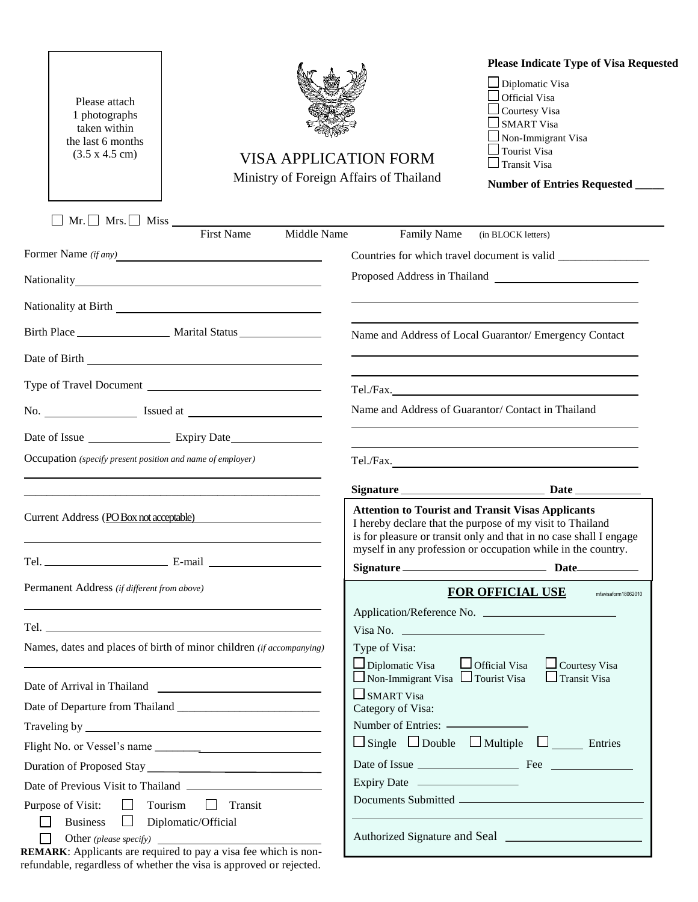| Please attach<br>1 photographs<br>taken within<br>the last 6 months<br>(3.5 x 4.5 cm)                                                                                                                                          | <b>Please Indicate Type of Visa Requested</b><br>Diplomatic Visa<br>Official Visa<br>Courtesy Visa<br><b>SMART Visa</b><br>Non-Immigrant Visa<br><b>Tourist Visa</b><br><b>VISA APPLICATION FORM</b><br>Transit Visa<br>Ministry of Foreign Affairs of Thailand<br>Number of Entries Requested _____ |
|--------------------------------------------------------------------------------------------------------------------------------------------------------------------------------------------------------------------------------|------------------------------------------------------------------------------------------------------------------------------------------------------------------------------------------------------------------------------------------------------------------------------------------------------|
| $\Box$ Mr. $\Box$ Mrs. $\Box$ Miss $\Box$<br>Middle Name                                                                                                                                                                       |                                                                                                                                                                                                                                                                                                      |
| <b>First Name</b>                                                                                                                                                                                                              | Family Name<br>(in BLOCK letters)                                                                                                                                                                                                                                                                    |
| Former Name (if any)                                                                                                                                                                                                           |                                                                                                                                                                                                                                                                                                      |
|                                                                                                                                                                                                                                |                                                                                                                                                                                                                                                                                                      |
| Nationality at Birth Charles and Charles and Charles and Charles and Charles and Charles and Charles and Charles and Charles and Charles and Charles and Charles and Charles and Charles and Charles and Charles and Charles a |                                                                                                                                                                                                                                                                                                      |
|                                                                                                                                                                                                                                | Name and Address of Local Guarantor/ Emergency Contact                                                                                                                                                                                                                                               |
|                                                                                                                                                                                                                                |                                                                                                                                                                                                                                                                                                      |
| Type of Travel Document                                                                                                                                                                                                        | Tel./Fax.                                                                                                                                                                                                                                                                                            |
|                                                                                                                                                                                                                                | Name and Address of Guarantor/Contact in Thailand                                                                                                                                                                                                                                                    |
|                                                                                                                                                                                                                                |                                                                                                                                                                                                                                                                                                      |
| Occupation (specify present position and name of employer)                                                                                                                                                                     |                                                                                                                                                                                                                                                                                                      |
|                                                                                                                                                                                                                                | Tel./Fax.                                                                                                                                                                                                                                                                                            |
| <u> 1989 - Johann Harry Harry Harry Harry Harry Harry Harry Harry Harry Harry Harry Harry Harry Harry Harry Harry</u>                                                                                                          |                                                                                                                                                                                                                                                                                                      |
| Current Address (PO Box not acceptable)<br><u> 1989 - John Stein, Amerikaansk politiker (</u>                                                                                                                                  | <b>Attention to Tourist and Transit Visas Applicants</b><br>I hereby declare that the purpose of my visit to Thailand<br>is for pleasure or transit only and that in no case shall I engage<br>myself in any profession or occupation while in the country.                                          |
|                                                                                                                                                                                                                                | Signature Date                                                                                                                                                                                                                                                                                       |
| Permanent Address (if different from above)                                                                                                                                                                                    | <b>FOR OFFICIAL USE</b><br>mfavisaform18062010                                                                                                                                                                                                                                                       |
|                                                                                                                                                                                                                                |                                                                                                                                                                                                                                                                                                      |
|                                                                                                                                                                                                                                | Visa No. $\qquad \qquad$                                                                                                                                                                                                                                                                             |
| Names, dates and places of birth of minor children (if accompanying)                                                                                                                                                           | Type of Visa:<br>$\Box$ Diplomatic Visa $\Box$ Official Visa<br>$\Box$ Courtesy Visa                                                                                                                                                                                                                 |
|                                                                                                                                                                                                                                | $\Box$ Non-Immigrant Visa $\Box$ Tourist Visa<br>$\Box$ Transit Visa                                                                                                                                                                                                                                 |
|                                                                                                                                                                                                                                | $\Box$ SMART Visa                                                                                                                                                                                                                                                                                    |
|                                                                                                                                                                                                                                | Category of Visa:                                                                                                                                                                                                                                                                                    |
|                                                                                                                                                                                                                                | $\Box$ Single $\Box$ Double $\Box$ Multiple $\Box$ Entries                                                                                                                                                                                                                                           |
|                                                                                                                                                                                                                                |                                                                                                                                                                                                                                                                                                      |
|                                                                                                                                                                                                                                |                                                                                                                                                                                                                                                                                                      |
| $\Box$<br>Tourism<br>Transit<br>Purpose of Visit:<br>$\Box$                                                                                                                                                                    |                                                                                                                                                                                                                                                                                                      |
| <b>Business</b><br>Diplomatic/Official<br>⊔<br><b>REMARK:</b> Applicants are required to pay a visa fee which is non-                                                                                                          |                                                                                                                                                                                                                                                                                                      |